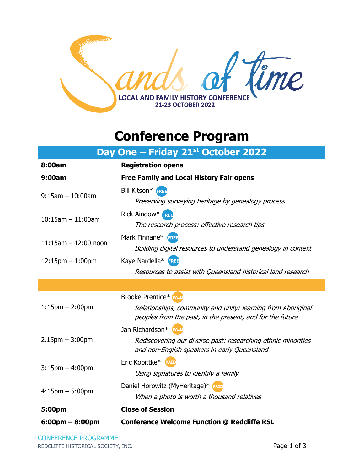

## **Conference Program**

| Day One - Friday 21st October 2022 |                                                                                                                                                           |  |
|------------------------------------|-----------------------------------------------------------------------------------------------------------------------------------------------------------|--|
| 8:00am                             | <b>Registration opens</b>                                                                                                                                 |  |
| 9:00am                             | <b>Free Family and Local History Fair opens</b>                                                                                                           |  |
| $9:15$ am $-10:00$ am              | Bill Kitson* FREE<br>Preserving surveying heritage by genealogy process                                                                                   |  |
| $10:15$ am $-11:00$ am             | Rick Aindow* FREE<br>The research process: effective research tips                                                                                        |  |
| $11:15$ am $-12:00$ noon           | Mark Finnane* FREE<br>Building digital resources to understand genealogy in context                                                                       |  |
| $12:15$ pm $-1:00$ pm              | Kaye Nardella* FREE                                                                                                                                       |  |
|                                    | Resources to assist with Queensland historical land research                                                                                              |  |
|                                    |                                                                                                                                                           |  |
| $1:15$ pm $- 2:00$ pm              | <b>Brooke Prentice* PAID</b><br>Relationships, community and unity: learning from Aboriginal<br>peoples from the past, in the present, and for the future |  |
| $2.15$ pm $-3:00$ pm               | Jan Richardson* PAID<br>Rediscovering our diverse past: researching ethnic minorities<br>and non-English speakers in early Queensland                     |  |
| $3:15$ pm $-4:00$ pm               | Eric Kopittke* PAID<br>Using signatures to identify a family                                                                                              |  |
| $4:15$ pm $-5:00$ pm               | Daniel Horowitz (MyHeritage)* PAID<br>When a photo is worth a thousand relatives                                                                          |  |
| 5:00pm                             | <b>Close of Session</b>                                                                                                                                   |  |

**6:00pm – 8:00pm Conference Welcome Function @ Redcliffe RSL**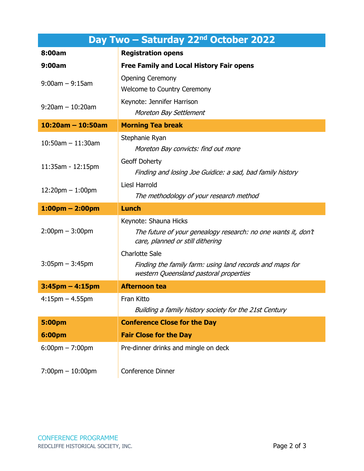| Day Two – Saturday 22 <sup>nd</sup> October 2022 |                                                                                                                             |  |
|--------------------------------------------------|-----------------------------------------------------------------------------------------------------------------------------|--|
| 8:00am                                           | <b>Registration opens</b>                                                                                                   |  |
| 9:00am                                           | <b>Free Family and Local History Fair opens</b>                                                                             |  |
| $9:00$ am $-9:15$ am                             | <b>Opening Ceremony</b><br><b>Welcome to Country Ceremony</b>                                                               |  |
| $9:20$ am $-10:20$ am                            | Keynote: Jennifer Harrison<br>Moreton Bay Settlement                                                                        |  |
| $10:20$ am - 10:50am                             | <b>Morning Tea break</b>                                                                                                    |  |
| $10:50$ am $-11:30$ am                           | Stephanie Ryan<br>Moreton Bay convicts: find out more                                                                       |  |
| 11:35am - 12:15pm                                | Geoff Doherty<br>Finding and losing Joe Guidice: a sad, bad family history                                                  |  |
| $12:20$ pm $-1:00$ pm                            | <b>Liesl Harrold</b><br>The methodology of your research method                                                             |  |
| $1:00$ pm – 2:00pm                               | <b>Lunch</b>                                                                                                                |  |
|                                                  |                                                                                                                             |  |
| $2:00$ pm $-3:00$ pm                             | Keynote: Shauna Hicks<br>The future of your genealogy research: no one wants it, don't<br>care, planned or still dithering  |  |
| $3:05$ pm $-3:45$ pm                             | <b>Charlotte Sale</b><br>Finding the family farm: using land records and maps for<br>western Queensland pastoral properties |  |
| $3:45$ pm $-4:15$ pm                             | <b>Afternoon tea</b>                                                                                                        |  |
| $4:15$ pm $-4.55$ pm                             | Fran Kitto<br>Building a family history society for the 21st Century                                                        |  |
| <b>5:00pm</b>                                    | <b>Conference Close for the Day</b>                                                                                         |  |
| 6:00pm                                           | <b>Fair Close for the Day</b>                                                                                               |  |
| $6:00 \text{pm} - 7:00 \text{pm}$                | Pre-dinner drinks and mingle on deck                                                                                        |  |